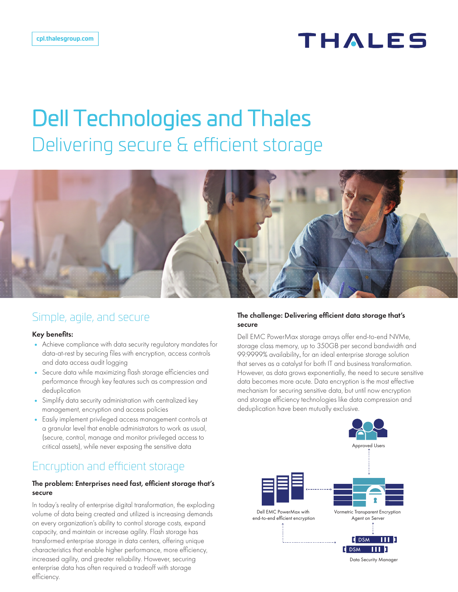## **THALES**

# Dell Technologies and Thales Delivering secure & efficient storage



## Simple, agile, and secure

#### Key benefits:

- Achieve compliance with data security regulatory mandates for data-at-rest by securing files with encryption, access controls and data access audit logging
- Secure data while maximizing flash storage efficiencies and performance through key features such as compression and deduplication
- Simplify data security administration with centralized key management, encryption and access policies
- Easily implement privileged access management controls at a granular level that enable administrators to work as usual, (secure, control, manage and monitor privileged access to critical assets), while never exposing the sensitive data

## Encryption and efficient storage

#### The problem: Enterprises need fast, efficient storage that's secure

In today's reality of enterprise digital transformation, the exploding volume of data being created and utilized is increasing demands on every organization's ability to control storage costs, expand capacity, and maintain or increase agility. Flash storage has transformed enterprise storage in data centers, offering unique characteristics that enable higher performance, more efficiency, increased agility, and greater reliability. However, securing enterprise data has often required a tradeoff with storage efficiency.

#### The challenge: Delivering efficient data storage that's secure

Dell EMC PowerMax storage arrays offer end-to-end NVMe, storage class memory, up to 350GB per second bandwidth and 99.9999% availability, for an ideal enterprise storage solution that serves as a catalyst for both IT and business transformation. However, as data grows exponentially, the need to secure sensitive data becomes more acute. Data encryption is the most effective mechanism for securing sensitive data, but until now encryption and storage efficiency technologies like data compression and deduplication have been mutually exclusive.